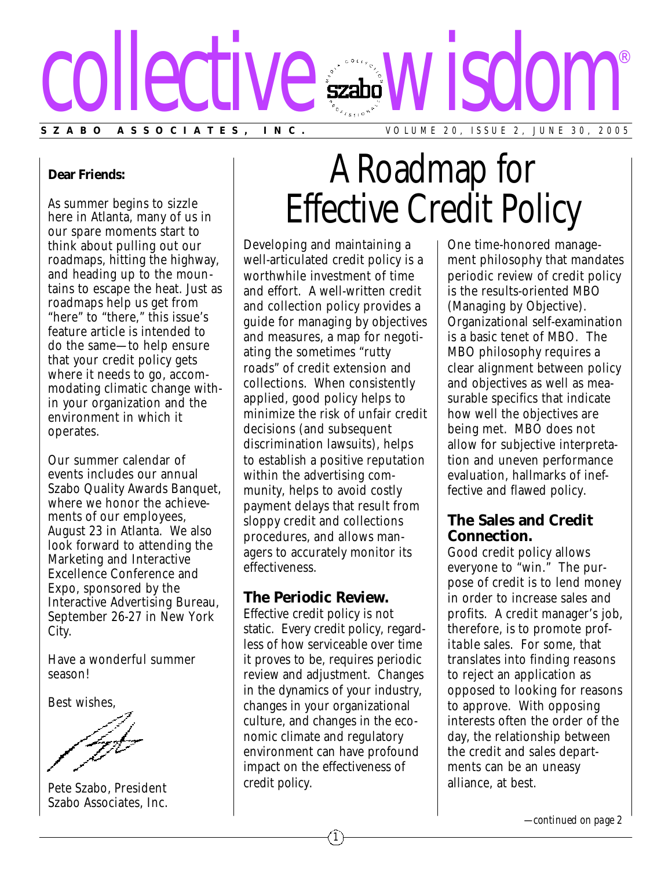

#### **Dear Friends:**

As summer begins to sizzle here in Atlanta, many of us in our spare moments start to think about pulling out our roadmaps, hitting the highway, and heading up to the mountains to escape the heat. Just as roadmaps help us get from "here" to "there," this issue's feature article is intended to do the same—to help ensure that your credit policy gets where it needs to go, accommodating climatic change within your organization and the environment in which it operates.

Our summer calendar of events includes our annual Szabo Quality Awards Banquet, where we honor the achievements of our employees, August 23 in Atlanta. We also look forward to attending the Marketing and Interactive Excellence Conference and Expo, sponsored by the Interactive Advertising Bureau, September 26-27 in New York City.

Have a wonderful summer season!

Best wishes,

Pete Szabo, President Szabo Associates, Inc.

# A Roadmap for Effective Credit Policy

Developing and maintaining a well-articulated credit policy is a worthwhile investment of time and effort. A well-written credit and collection policy provides a guide for managing by objectives and measures, a map for negotiating the sometimes "rutty roads" of credit extension and collections. When consistently applied, good policy helps to minimize the risk of unfair credit decisions (and subsequent discrimination lawsuits), helps to establish a positive reputation within the advertising community, helps to avoid costly payment delays that result from sloppy credit and collections procedures, and allows managers to accurately monitor its effectiveness.

### **The Periodic Review.**

Effective credit policy is not static. Every credit policy, regardless of how serviceable over time it proves to be, requires periodic review and adjustment. Changes in the dynamics of your industry, changes in your organizational culture, and changes in the economic climate and regulatory environment can have profound impact on the effectiveness of credit policy.

1

One time-honored management philosophy that mandates periodic review of credit policy is the results-oriented MBO (Managing by Objective). Organizational self-examination is a basic tenet of MBO. The MBO philosophy requires a clear alignment between policy and objectives as well as measurable specifics that indicate how well the objectives are being met. MBO does not allow for subjective interpretation and uneven performance evaluation, hallmarks of ineffective and flawed policy.

# **The Sales and Credit Connection.**

Good credit policy allows everyone to "win." The purpose of credit is to lend money in order to increase sales and profits. A credit manager's job, therefore, is to promote *profitable* sales. For some, that translates into finding reasons to reject an application as opposed to looking for reasons to approve. With opposing interests often the order of the day, the relationship between the credit and sales departments can be an uneasy alliance, at best.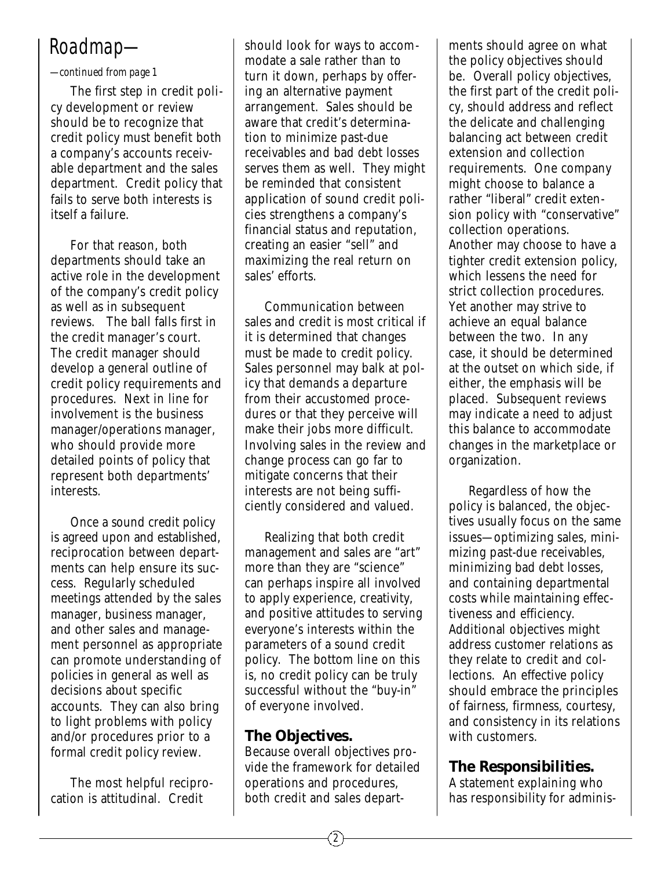# *Roadmap—*

*—continued from page 1*

The first step in credit policy development or review should be to recognize that credit policy must benefit both a company's accounts receivable department and the sales department. Credit policy that fails to serve both interests is itself a failure.

For that reason, both departments should take an active role in the development of the company's credit policy as well as in subsequent reviews. The ball falls first in the credit manager's court. The credit manager should develop a general outline of credit policy requirements and procedures. Next in line for involvement is the business manager/operations manager, who should provide more detailed points of policy that represent both departments' interests.

Once a sound credit policy is agreed upon and established, reciprocation between departments can help ensure its success. Regularly scheduled meetings attended by the sales manager, business manager, and other sales and management personnel as appropriate can promote understanding of policies in general as well as decisions about specific accounts. They can also bring to light problems with policy and/or procedures prior to a formal credit policy review.

The most helpful reciprocation is attitudinal. Credit

should look for ways to accommodate a sale rather than to turn it down, perhaps by offering an alternative payment arrangement. Sales should be aware that credit's determination to minimize past-due receivables and bad debt losses serves them as well. They might be reminded that consistent application of sound credit policies strengthens a company's financial status and reputation, creating an easier "sell" and maximizing the real return on sales' efforts.

Communication between sales and credit is most critical if it is determined that changes must be made to credit policy. Sales personnel may balk at policy that demands a departure from their accustomed procedures or that they perceive will make their jobs more difficult. Involving sales in the review and change process can go far to mitigate concerns that their interests are not being sufficiently considered and valued.

Realizing that both credit management and sales are "art" more than they are "science" can perhaps inspire all involved to apply experience, creativity, and positive attitudes to serving everyone's interests within the parameters of a sound credit policy. The bottom line on this is, no credit policy can be truly successful without the "buy-in" of everyone involved.

# **The Objectives.**

Because overall objectives provide the framework for detailed operations and procedures, both credit and sales depart-

ments should agree on what the policy objectives should be. Overall policy objectives, the first part of the credit policy, should address and reflect the delicate and challenging balancing act between credit extension and collection requirements. One company might choose to balance a rather "liberal" credit extension policy with "conservative" collection operations. Another may choose to have a tighter credit extension policy, which lessens the need for strict collection procedures. Yet another may strive to achieve an equal balance between the two. In any case, it should be determined at the outset on which side, if either, the emphasis will be placed. Subsequent reviews may indicate a need to adjust this balance to accommodate changes in the marketplace or organization.

Regardless of how the policy is balanced, the objectives usually focus on the same issues—optimizing sales, minimizing past-due receivables, minimizing bad debt losses, and containing departmental costs while maintaining effectiveness and efficiency. Additional objectives might address customer relations as they relate to credit and collections. An effective policy should embrace the principles of fairness, firmness, courtesy, and consistency in its relations with customers.

# **The Responsibilities.**

A statement explaining who has responsibility for adminis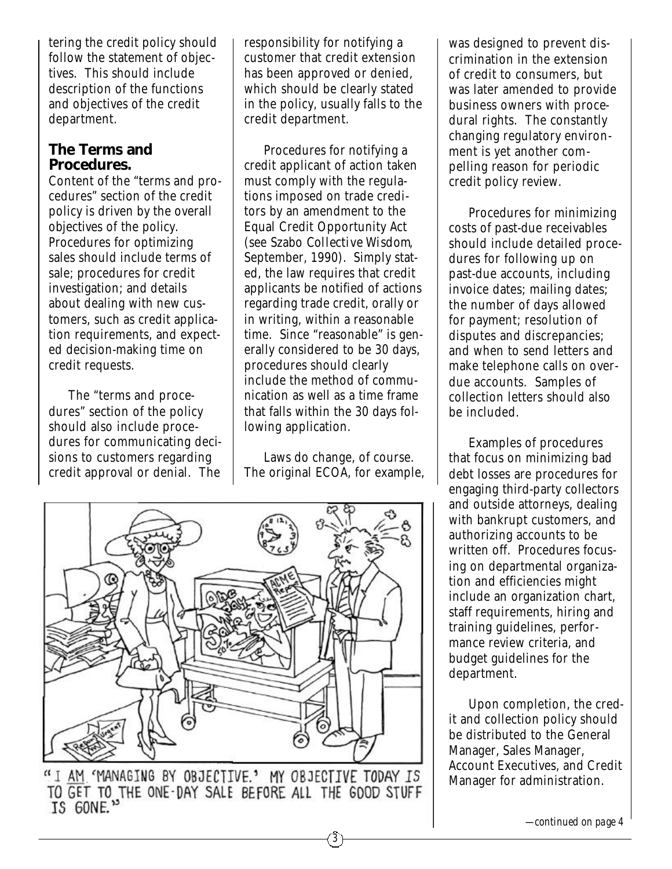tering the credit policy should follow the statement of objectives. This should include description of the functions and objectives of the credit department.

## **The Terms and Procedures.**

Content of the "terms and procedures" section of the credit policy is driven by the overall objectives of the policy. Procedures for optimizing sales should include terms of sale; procedures for credit investigation; and details about dealing with new customers, such as credit application requirements, and expected decision-making time on credit requests.

The "terms and procedures" section of the policy should also include procedures for communicating decisions to customers regarding credit approval or denial. The responsibility for notifying a customer that credit extension has been approved or denied, which should be clearly stated in the policy, usually falls to the credit department.

Procedures for notifying a credit applicant of action taken must comply with the regulations imposed on trade creditors by an amendment to the Equal Credit Opportunity Act (see Szabo *Collective Wisdom*, September, 1990). Simply stated, the law requires that credit applicants be notified of actions regarding trade credit, orally or in writing, within a reasonable time. Since "reasonable" is generally considered to be 30 days, procedures should clearly include the method of communication as well as a time frame that falls within the 30 days following application.

Laws do change, of course. The original ECOA, for example,

3



"I AM MANAGING BY OBJECTIVE.' MY OBJECTIVE TODAY IS TO GET TO THE ONE-DAY SALE BEFORE ALL THE GOOD STUFF IS GONE."

was designed to prevent discrimination in the extension of credit to consumers, but was later amended to provide business owners with procedural rights. The constantly changing regulatory environment is yet another compelling reason for periodic credit policy review.

Procedures for minimizing costs of past-due receivables should include detailed procedures for following up on past-due accounts, including invoice dates; mailing dates; the number of days allowed for payment; resolution of disputes and discrepancies; and when to send letters and make telephone calls on overdue accounts. Samples of collection letters should also be included.

Examples of procedures that focus on minimizing bad debt losses are procedures for engaging third-party collectors and outside attorneys, dealing with bankrupt customers, and authorizing accounts to be written off. Procedures focusing on departmental organization and efficiencies might include an organization chart, staff requirements, hiring and training guidelines, performance review criteria, and budget guidelines for the department.

Upon completion, the credit and collection policy should be distributed to the General Manager, Sales Manager, Account Executives, and Credit Manager for administration.